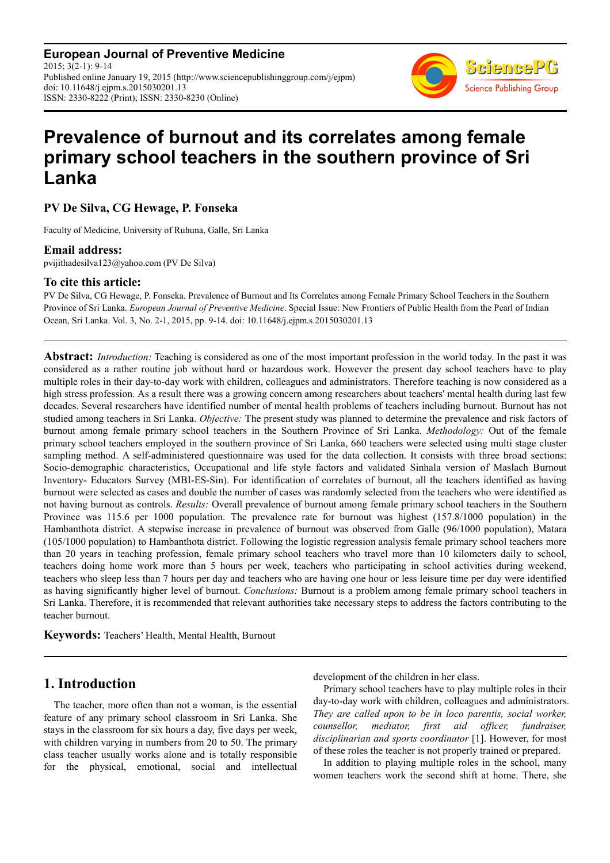**European Journal of Preventive Medicine** 2015; 3(2-1): 9-14 Published online January 19, 2015 (http://www.sciencepublishinggroup.com/j/ejpm) doi: 10.11648/j.ejpm.s.2015030201.13 ISSN: 2330-8222 (Print); ISSN: 2330-8230 (Online)



# **Prevalence of burnout and its correlates among female primary school teachers in the southern province of Sri Lanka**

**PV De Silva, CG Hewage, P. Fonseka** 

Faculty of Medicine, University of Ruhuna, Galle, Sri Lanka

#### **Email address:**

pvijithadesilva123@yahoo.com (PV De Silva)

#### **To cite this article:**

PV De Silva, CG Hewage, P. Fonseka. Prevalence of Burnout and Its Correlates among Female Primary School Teachers in the Southern Province of Sri Lanka. *European Journal of Preventive Medicine*. Special Issue: New Frontiers of Public Health from the Pearl of Indian Ocean, Sri Lanka. Vol. 3, No. 2-1, 2015, pp. 9-14. doi: 10.11648/j.ejpm.s.2015030201.13

**Abstract:** *Introduction:* Teaching is considered as one of the most important profession in the world today. In the past it was considered as a rather routine job without hard or hazardous work. However the present day school teachers have to play multiple roles in their day-to-day work with children, colleagues and administrators. Therefore teaching is now considered as a high stress profession. As a result there was a growing concern among researchers about teachers' mental health during last few decades. Several researchers have identified number of mental health problems of teachers including burnout. Burnout has not studied among teachers in Sri Lanka. *Objective:* The present study was planned to determine the prevalence and risk factors of burnout among female primary school teachers in the Southern Province of Sri Lanka. *Methodology:* Out of the female primary school teachers employed in the southern province of Sri Lanka, 660 teachers were selected using multi stage cluster sampling method. A self-administered questionnaire was used for the data collection. It consists with three broad sections: Socio-demographic characteristics, Occupational and life style factors and validated Sinhala version of Maslach Burnout Inventory- Educators Survey (MBI-ES-Sin). For identification of correlates of burnout, all the teachers identified as having burnout were selected as cases and double the number of cases was randomly selected from the teachers who were identified as not having burnout as controls. *Results:* Overall prevalence of burnout among female primary school teachers in the Southern Province was 115.6 per 1000 population. The prevalence rate for burnout was highest (157.8/1000 population) in the Hambanthota district. A stepwise increase in prevalence of burnout was observed from Galle (96/1000 population), Matara (105/1000 population) to Hambanthota district. Following the logistic regression analysis female primary school teachers more than 20 years in teaching profession, female primary school teachers who travel more than 10 kilometers daily to school, teachers doing home work more than 5 hours per week, teachers who participating in school activities during weekend, teachers who sleep less than 7 hours per day and teachers who are having one hour or less leisure time per day were identified as having significantly higher level of burnout. *Conclusions:* Burnout is a problem among female primary school teachers in Sri Lanka. Therefore, it is recommended that relevant authorities take necessary steps to address the factors contributing to the teacher burnout.

**Keywords:** Teachers' Health, Mental Health, Burnout

## **1. Introduction**

The teacher, more often than not a woman, is the essential feature of any primary school classroom in Sri Lanka. She stays in the classroom for six hours a day, five days per week, with children varying in numbers from 20 to 50. The primary class teacher usually works alone and is totally responsible for the physical, emotional, social and intellectual development of the children in her class.

Primary school teachers have to play multiple roles in their day-to-day work with children, colleagues and administrators. *They are called upon to be in loco parentis, social worker, counsellor, mediator, first aid officer, fundraiser, disciplinarian and sports coordinator* [1]. However, for most of these roles the teacher is not properly trained or prepared.

In addition to playing multiple roles in the school, many women teachers work the second shift at home. There, she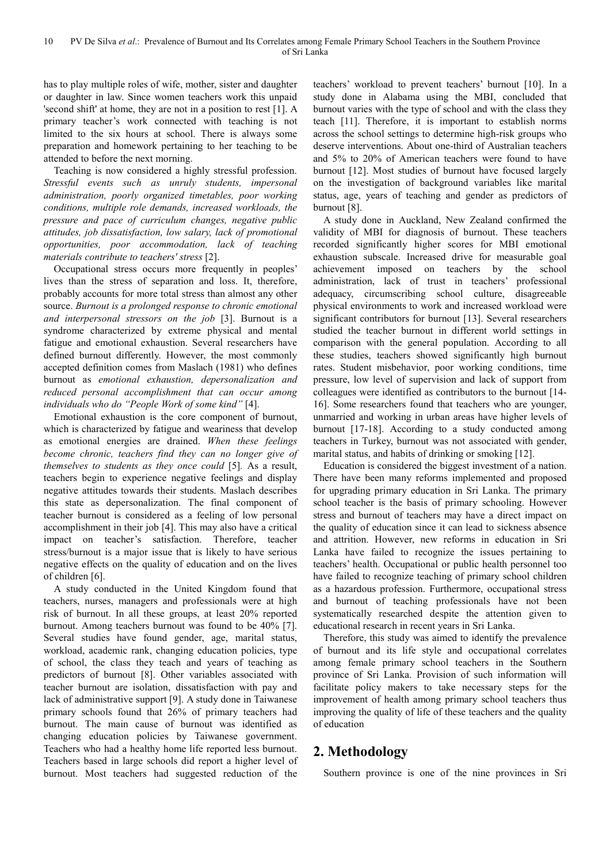has to play multiple roles of wife, mother, sister and daughter or daughter in law. Since women teachers work this unpaid 'second shift' at home, they are not in a position to rest [1]. A primary teacher's work connected with teaching is not limited to the six hours at school. There is always some preparation and homework pertaining to her teaching to be attended to before the next morning.

Teaching is now considered a highly stressful profession. *Stressful events such as unruly students, impersonal administration, poorly organized timetables, poor working conditions, multiple role demands, increased workloads, the pressure and pace of curriculum changes, negative public attitudes, job dissatisfaction, low salary, lack of promotional opportunities, poor accommodation, lack of teaching materials contribute to teachers' stress* [2].

Occupational stress occurs more frequently in peoples' lives than the stress of separation and loss. It, therefore, probably accounts for more total stress than almost any other source. *Burnout is a prolonged response to chronic emotional and interpersonal stressors on the job* [3]. Burnout is a syndrome characterized by extreme physical and mental fatigue and emotional exhaustion. Several researchers have defined burnout differently. However, the most commonly accepted definition comes from Maslach (1981) who defines burnout as *emotional exhaustion, depersonalization and reduced personal accomplishment that can occur among individuals who do "People Work of some kind"* [4].

Emotional exhaustion is the core component of burnout, which is characterized by fatigue and weariness that develop as emotional energies are drained. *When these feelings become chronic, teachers find they can no longer give of themselves to students as they once could* [5]*.* As a result, teachers begin to experience negative feelings and display negative attitudes towards their students. Maslach describes this state as depersonalization. The final component of teacher burnout is considered as a feeling of low personal accomplishment in their job [4]. This may also have a critical impact on teacher's satisfaction. Therefore, teacher stress/burnout is a major issue that is likely to have serious negative effects on the quality of education and on the lives of children [6].

A study conducted in the United Kingdom found that teachers, nurses, managers and professionals were at high risk of burnout. In all these groups, at least 20% reported burnout. Among teachers burnout was found to be 40% [7]. Several studies have found gender, age, marital status, workload, academic rank, changing education policies, type of school, the class they teach and years of teaching as predictors of burnout [8]. Other variables associated with teacher burnout are isolation, dissatisfaction with pay and lack of administrative support [9]. A study done in Taiwanese primary schools found that 26% of primary teachers had burnout. The main cause of burnout was identified as changing education policies by Taiwanese government. Teachers who had a healthy home life reported less burnout. Teachers based in large schools did report a higher level of burnout. Most teachers had suggested reduction of the

teachers' workload to prevent teachers' burnout [10]. In a study done in Alabama using the MBI, concluded that burnout varies with the type of school and with the class they teach [11]. Therefore, it is important to establish norms across the school settings to determine high-risk groups who deserve interventions. About one-third of Australian teachers and 5% to 20% of American teachers were found to have burnout [12]. Most studies of burnout have focused largely on the investigation of background variables like marital status, age, years of teaching and gender as predictors of burnout [8].

A study done in Auckland, New Zealand confirmed the validity of MBI for diagnosis of burnout. These teachers recorded significantly higher scores for MBI emotional exhaustion subscale. Increased drive for measurable goal achievement imposed on teachers by the school administration, lack of trust in teachers' professional adequacy, circumscribing school culture, disagreeable physical environments to work and increased workload were significant contributors for burnout [13]. Several researchers studied the teacher burnout in different world settings in comparison with the general population. According to all these studies, teachers showed significantly high burnout rates. Student misbehavior, poor working conditions, time pressure, low level of supervision and lack of support from colleagues were identified as contributors to the burnout [14- 16]. Some researchers found that teachers who are younger, unmarried and working in urban areas have higher levels of burnout [17-18]. According to a study conducted among teachers in Turkey, burnout was not associated with gender, marital status, and habits of drinking or smoking [12].

Education is considered the biggest investment of a nation. There have been many reforms implemented and proposed for upgrading primary education in Sri Lanka. The primary school teacher is the basis of primary schooling. However stress and burnout of teachers may have a direct impact on the quality of education since it can lead to sickness absence and attrition. However, new reforms in education in Sri Lanka have failed to recognize the issues pertaining to teachers' health. Occupational or public health personnel too have failed to recognize teaching of primary school children as a hazardous profession. Furthermore, occupational stress and burnout of teaching professionals have not been systematically researched despite the attention given to educational research in recent years in Sri Lanka.

Therefore, this study was aimed to identify the prevalence of burnout and its life style and occupational correlates among female primary school teachers in the Southern province of Sri Lanka. Provision of such information will facilitate policy makers to take necessary steps for the improvement of health among primary school teachers thus improving the quality of life of these teachers and the quality of education

# **2. Methodology**

Southern province is one of the nine provinces in Sri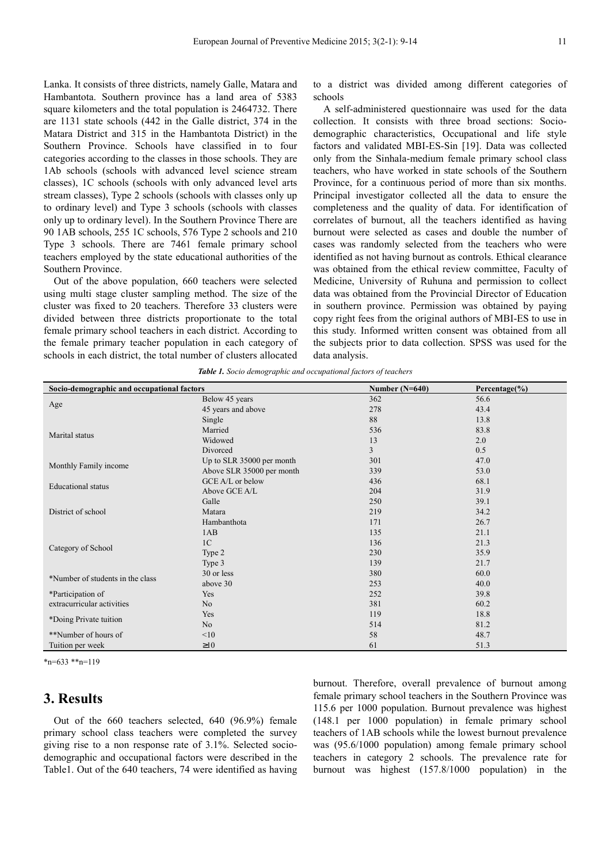Lanka. It consists of three districts, namely Galle, Matara and Hambantota. Southern province has a land area of 5383 square kilometers and the total population is 2464732. There are 1131 state schools (442 in the Galle district, 374 in the Matara District and 315 in the Hambantota District) in the Southern Province. Schools have classified in to four categories according to the classes in those schools. They are 1Ab schools (schools with advanced level science stream classes), 1C schools (schools with only advanced level arts stream classes), Type 2 schools (schools with classes only up to ordinary level) and Type 3 schools (schools with classes only up to ordinary level). In the Southern Province There are 90 1AB schools, 255 1C schools, 576 Type 2 schools and 210 Type 3 schools. There are 7461 female primary school teachers employed by the state educational authorities of the Southern Province.

Out of the above population, 660 teachers were selected using multi stage cluster sampling method. The size of the cluster was fixed to 20 teachers. Therefore 33 clusters were divided between three districts proportionate to the total female primary school teachers in each district. According to the female primary teacher population in each category of schools in each district, the total number of clusters allocated

to a district was divided among different categories of schools

A self-administered questionnaire was used for the data collection. It consists with three broad sections: Sociodemographic characteristics, Occupational and life style factors and validated MBI-ES-Sin [19]. Data was collected only from the Sinhala-medium female primary school class teachers, who have worked in state schools of the Southern Province, for a continuous period of more than six months. Principal investigator collected all the data to ensure the completeness and the quality of data. For identification of correlates of burnout, all the teachers identified as having burnout were selected as cases and double the number of cases was randomly selected from the teachers who were identified as not having burnout as controls. Ethical clearance was obtained from the ethical review committee, Faculty of Medicine, University of Ruhuna and permission to collect data was obtained from the Provincial Director of Education in southern province. Permission was obtained by paying copy right fees from the original authors of MBI-ES to use in this study. Informed written consent was obtained from all the subjects prior to data collection. SPSS was used for the data analysis.

|  | Table 1. Socio demographic and occupational factors of teachers |  |  |
|--|-----------------------------------------------------------------|--|--|
|  |                                                                 |  |  |

| Socio-demographic and occupational factors |                           | Number $(N=640)$ | Percentage $(\% )$ |  |
|--------------------------------------------|---------------------------|------------------|--------------------|--|
|                                            | Below 45 years            | 362              | 56.6               |  |
| Age                                        | 45 years and above        | 278              | 43.4               |  |
|                                            | Single                    | 88               | 13.8               |  |
|                                            | Married                   | 536              | 83.8               |  |
| Marital status                             | Widowed                   | 13               | 2.0                |  |
|                                            | Divorced                  | 3                | 0.5                |  |
|                                            | Up to SLR 35000 per month | 301              | 47.0               |  |
| Monthly Family income                      | Above SLR 35000 per month | 339              | 53.0               |  |
| <b>Educational</b> status                  | GCE A/L or below          | 436              | 68.1               |  |
|                                            | Above GCE A/L             | 204              | 31.9               |  |
|                                            | Galle                     | 250              | 39.1               |  |
| District of school                         | Matara                    | 219              | 34.2               |  |
|                                            | Hambanthota               | 171              | 26.7               |  |
|                                            | 1AB                       | 135              | 21.1               |  |
|                                            | 1 <sup>C</sup>            | 136              | 21.3               |  |
| Category of School                         | Type 2                    | 230              | 35.9               |  |
|                                            | Type 3                    | 139              | 21.7               |  |
| *Number of students in the class           | 30 or less                | 380              | 60.0               |  |
|                                            | above 30                  | 253              | 40.0               |  |
| *Participation of                          | Yes                       | 252              | 39.8               |  |
| extracurricular activities                 | N <sub>o</sub>            | 381              | 60.2               |  |
|                                            | <b>Yes</b>                | 119              | 18.8               |  |
| *Doing Private tuition                     | No                        | 514              | 81.2               |  |
| **Number of hours of                       | <10                       | 58               | 48.7               |  |
| Tuition per week                           | $\geq 10$                 | 61               | 51.3               |  |

 $*_{n=633} *_{n=119}$ 

### **3. Results**

Out of the 660 teachers selected, 640 (96.9%) female primary school class teachers were completed the survey giving rise to a non response rate of 3.1%. Selected sociodemographic and occupational factors were described in the Table1. Out of the 640 teachers, 74 were identified as having burnout. Therefore, overall prevalence of burnout among female primary school teachers in the Southern Province was 115.6 per 1000 population. Burnout prevalence was highest (148.1 per 1000 population) in female primary school teachers of 1AB schools while the lowest burnout prevalence was (95.6/1000 population) among female primary school teachers in category 2 schools. The prevalence rate for burnout was highest (157.8/1000 population) in the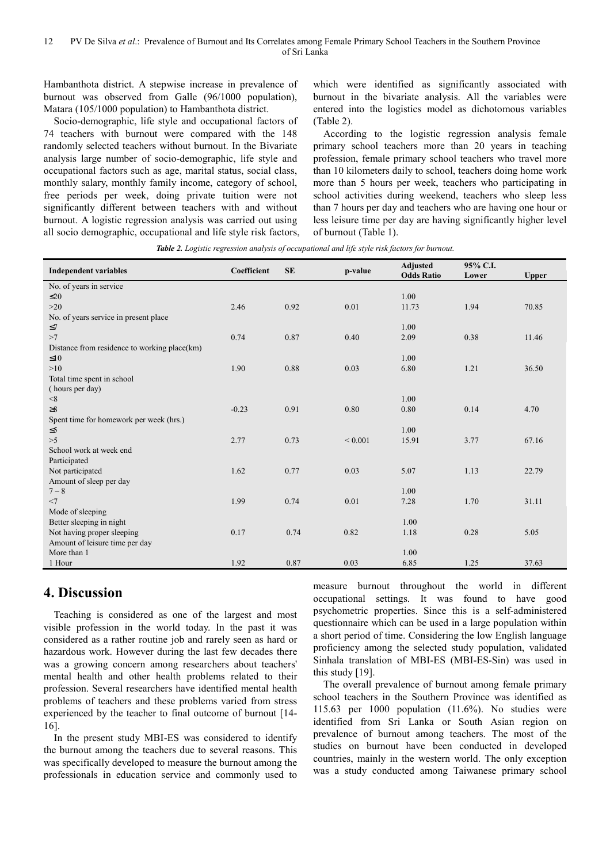Hambanthota district. A stepwise increase in prevalence of burnout was observed from Galle (96/1000 population), Matara (105/1000 population) to Hambanthota district.

Socio-demographic, life style and occupational factors of 74 teachers with burnout were compared with the 148 randomly selected teachers without burnout. In the Bivariate analysis large number of socio-demographic, life style and occupational factors such as age, marital status, social class, monthly salary, monthly family income, category of school, free periods per week, doing private tuition were not significantly different between teachers with and without burnout. A logistic regression analysis was carried out using all socio demographic, occupational and life style risk factors, which were identified as significantly associated with burnout in the bivariate analysis. All the variables were entered into the logistics model as dichotomous variables (Table 2).

According to the logistic regression analysis female primary school teachers more than 20 years in teaching profession, female primary school teachers who travel more than 10 kilometers daily to school, teachers doing home work more than 5 hours per week, teachers who participating in school activities during weekend, teachers who sleep less than 7 hours per day and teachers who are having one hour or less leisure time per day are having significantly higher level of burnout (Table 1).

*Table 2. Logistic regression analysis of occupational and life style risk factors for burnout.* 

| <b>Independent variables</b>                 | Coefficient | <b>SE</b> | p-value     | <b>Adjusted</b><br>95% C.I. |       |              |
|----------------------------------------------|-------------|-----------|-------------|-----------------------------|-------|--------------|
|                                              |             |           |             | <b>Odds Ratio</b>           | Lower | <b>Upper</b> |
| No. of years in service                      |             |           |             |                             |       |              |
| $\leq 20$                                    |             |           |             | 1.00                        |       |              |
| >20                                          | 2.46        | 0.92      | 0.01        | 11.73                       | 1.94  | 70.85        |
| No. of years service in present place        |             |           |             |                             |       |              |
| $\leq$ 7                                     |             |           |             | 1.00                        |       |              |
| >7                                           | 0.74        | 0.87      | 0.40        | 2.09                        | 0.38  | 11.46        |
| Distance from residence to working place(km) |             |           |             |                             |       |              |
| $\leq 10$                                    |             |           |             | 1.00                        |       |              |
| >10                                          | 1.90        | 0.88      | 0.03        | 6.80                        | 1.21  | 36.50        |
| Total time spent in school                   |             |           |             |                             |       |              |
| (hours per day)                              |             |           |             |                             |       |              |
| $<\!\!8$                                     |             |           |             | 1.00                        |       |              |
| $\geq 8$                                     | $-0.23$     | 0.91      | 0.80        | 0.80                        | 0.14  | 4.70         |
| Spent time for homework per week (hrs.)      |             |           |             |                             |       |              |
| $\leq 5$                                     |             |           |             | 1.00                        |       |              |
| >5                                           | 2.77        | 0.73      | ${}< 0.001$ | 15.91                       | 3.77  | 67.16        |
| School work at week end                      |             |           |             |                             |       |              |
| Participated                                 |             |           |             |                             |       |              |
| Not participated                             | 1.62        | 0.77      | 0.03        | 5.07                        | 1.13  | 22.79        |
| Amount of sleep per day                      |             |           |             |                             |       |              |
| $7 - 8$                                      |             |           |             | 1.00                        |       |              |
| <7                                           | 1.99        | 0.74      | 0.01        | 7.28                        | 1.70  | 31.11        |
| Mode of sleeping                             |             |           |             |                             |       |              |
| Better sleeping in night                     |             |           |             | 1.00                        |       |              |
|                                              | 0.17        | 0.74      | 0.82        | 1.18                        | 0.28  | 5.05         |
| Not having proper sleeping                   |             |           |             |                             |       |              |
| Amount of leisure time per day               |             |           |             |                             |       |              |
| More than 1                                  |             |           |             | 1.00                        |       |              |
| 1 Hour                                       | 1.92        | 0.87      | 0.03        | 6.85                        | 1.25  | 37.63        |

# **4. Discussion**

Teaching is considered as one of the largest and most visible profession in the world today. In the past it was considered as a rather routine job and rarely seen as hard or hazardous work. However during the last few decades there was a growing concern among researchers about teachers' mental health and other health problems related to their profession. Several researchers have identified mental health problems of teachers and these problems varied from stress experienced by the teacher to final outcome of burnout [14- 16].

In the present study MBI-ES was considered to identify the burnout among the teachers due to several reasons. This was specifically developed to measure the burnout among the professionals in education service and commonly used to

measure burnout throughout the world in different occupational settings. It was found to have good psychometric properties. Since this is a self-administered questionnaire which can be used in a large population within a short period of time. Considering the low English language proficiency among the selected study population, validated Sinhala translation of MBI-ES (MBI-ES-Sin) was used in this study [19].

The overall prevalence of burnout among female primary school teachers in the Southern Province was identified as 115.63 per 1000 population (11.6%). No studies were identified from Sri Lanka or South Asian region on prevalence of burnout among teachers. The most of the studies on burnout have been conducted in developed countries, mainly in the western world. The only exception was a study conducted among Taiwanese primary school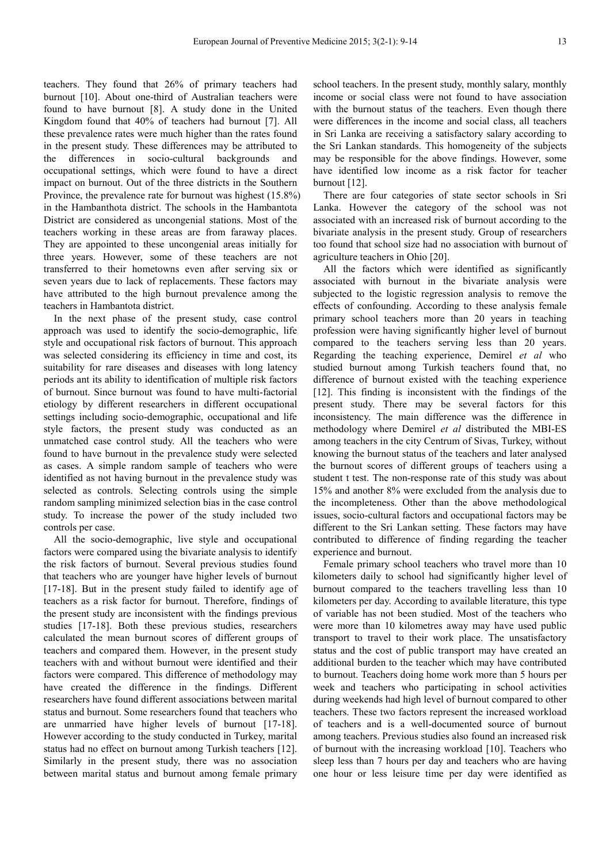teachers. They found that 26% of primary teachers had burnout [10]. About one-third of Australian teachers were found to have burnout [8]. A study done in the United Kingdom found that 40% of teachers had burnout [7]. All these prevalence rates were much higher than the rates found in the present study. These differences may be attributed to the differences in socio-cultural backgrounds and occupational settings, which were found to have a direct impact on burnout. Out of the three districts in the Southern Province, the prevalence rate for burnout was highest (15.8%) in the Hambanthota district. The schools in the Hambantota District are considered as uncongenial stations. Most of the teachers working in these areas are from faraway places. They are appointed to these uncongenial areas initially for three years. However, some of these teachers are not transferred to their hometowns even after serving six or seven years due to lack of replacements. These factors may have attributed to the high burnout prevalence among the teachers in Hambantota district.

In the next phase of the present study, case control approach was used to identify the socio-demographic, life style and occupational risk factors of burnout. This approach was selected considering its efficiency in time and cost, its suitability for rare diseases and diseases with long latency periods ant its ability to identification of multiple risk factors of burnout. Since burnout was found to have multi-factorial etiology by different researchers in different occupational settings including socio-demographic, occupational and life style factors, the present study was conducted as an unmatched case control study. All the teachers who were found to have burnout in the prevalence study were selected as cases. A simple random sample of teachers who were identified as not having burnout in the prevalence study was selected as controls. Selecting controls using the simple random sampling minimized selection bias in the case control study. To increase the power of the study included two controls per case.

All the socio-demographic, live style and occupational factors were compared using the bivariate analysis to identify the risk factors of burnout. Several previous studies found that teachers who are younger have higher levels of burnout [17-18]. But in the present study failed to identify age of teachers as a risk factor for burnout. Therefore, findings of the present study are inconsistent with the findings previous studies [17-18]. Both these previous studies, researchers calculated the mean burnout scores of different groups of teachers and compared them. However, in the present study teachers with and without burnout were identified and their factors were compared. This difference of methodology may have created the difference in the findings. Different researchers have found different associations between marital status and burnout. Some researchers found that teachers who are unmarried have higher levels of burnout [17-18]. However according to the study conducted in Turkey, marital status had no effect on burnout among Turkish teachers [12]. Similarly in the present study, there was no association between marital status and burnout among female primary

school teachers. In the present study, monthly salary, monthly income or social class were not found to have association with the burnout status of the teachers. Even though there were differences in the income and social class, all teachers in Sri Lanka are receiving a satisfactory salary according to the Sri Lankan standards. This homogeneity of the subjects may be responsible for the above findings. However, some have identified low income as a risk factor for teacher burnout [12].

There are four categories of state sector schools in Sri Lanka. However the category of the school was not associated with an increased risk of burnout according to the bivariate analysis in the present study. Group of researchers too found that school size had no association with burnout of agriculture teachers in Ohio [20].

All the factors which were identified as significantly associated with burnout in the bivariate analysis were subjected to the logistic regression analysis to remove the effects of confounding. According to these analysis female primary school teachers more than 20 years in teaching profession were having significantly higher level of burnout compared to the teachers serving less than 20 years. Regarding the teaching experience, Demirel *et al* who studied burnout among Turkish teachers found that, no difference of burnout existed with the teaching experience [12]. This finding is inconsistent with the findings of the present study. There may be several factors for this inconsistency. The main difference was the difference in methodology where Demirel *et al* distributed the MBI-ES among teachers in the city Centrum of Sivas, Turkey, without knowing the burnout status of the teachers and later analysed the burnout scores of different groups of teachers using a student t test. The non-response rate of this study was about 15% and another 8% were excluded from the analysis due to the incompleteness. Other than the above methodological issues, socio-cultural factors and occupational factors may be different to the Sri Lankan setting. These factors may have contributed to difference of finding regarding the teacher experience and burnout.

Female primary school teachers who travel more than 10 kilometers daily to school had significantly higher level of burnout compared to the teachers travelling less than 10 kilometers per day. According to available literature, this type of variable has not been studied. Most of the teachers who were more than 10 kilometres away may have used public transport to travel to their work place. The unsatisfactory status and the cost of public transport may have created an additional burden to the teacher which may have contributed to burnout. Teachers doing home work more than 5 hours per week and teachers who participating in school activities during weekends had high level of burnout compared to other teachers. These two factors represent the increased workload of teachers and is a well-documented source of burnout among teachers. Previous studies also found an increased risk of burnout with the increasing workload [10]. Teachers who sleep less than 7 hours per day and teachers who are having one hour or less leisure time per day were identified as